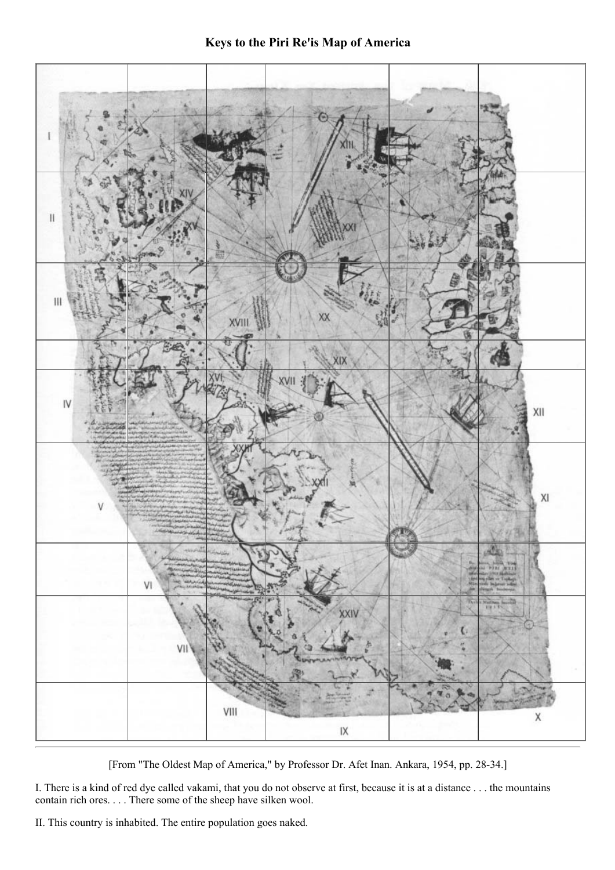

[From "The Oldest Map of America," by Professor Dr. Afet Inan. Ankara, 1954, pp. 28-34.]

I. There is a kind of red dye called vakami, that you do not observe at first, because it is at a distance . . . the mountains contain rich ores. . . . There some of the sheep have silken wool.

II. This country is inhabited. The entire population goes naked.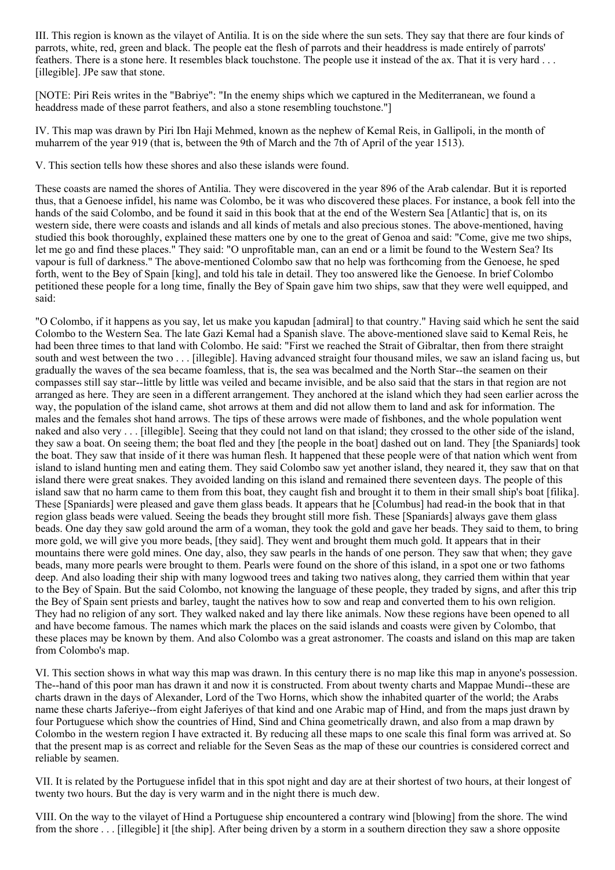III. This region is known as the vilayet of Antilia. It is on the side where the sun sets. They say that there are four kinds of parrots, white, red, green and black. The people eat the flesh of parrots and their headdress is made entirely of parrots' feathers. There is a stone here. It resembles black touchstone. The people use it instead of the ax. That it is very hard . . . [illegible]. JPe saw that stone.

[NOTE: Piri Reis writes in the "Babriye": "In the enemy ships which we captured in the Mediterranean, we found a headdress made of these parrot feathers, and also a stone resembling touchstone."

IV. This map was drawn by Piri Ibn Haji Mehmed, known as the nephew of Kemal Reis, in Gallipoli, in the month of muharrem of the year 919 (that is, between the 9th of March and the 7th of April of the year 1513).

V. This section tells how these shores and also these islands were found.

These coasts are named the shores of Antilia. They were discovered in the year 896 of the Arab calendar. But it is reported thus, that a Genoese infidel, his name was Colombo, be it was who discovered these places. For instance, a book fell into the hands of the said Colombo, and be found it said in this book that at the end of the Western Sea [Atlantic] that is, on its western side, there were coasts and islands and all kinds of metals and also precious stones. The above-mentioned, having studied this book thoroughly, explained these matters one by one to the great of Genoa and said: "Come, give me two ships, let me go and find these places." They said: "O unprofitable man, can an end or a limit be found to the Western Sea? Its vapour is full of darkness." The above-mentioned Colombo saw that no help was forthcoming from the Genoese, he sped forth, went to the Bey of Spain [king], and told his tale in detail. They too answered like the Genoese. In brief Colombo petitioned these people for a long time, finally the Bey of Spain gave him two ships, saw that they were well equipped, and said:

"O Colombo, if it happens as you say, let us make you kapudan [admiral] to that country." Having said which he sent the said Colombo to the Western Sea. The late Gazi Kemal had a Spanish slave. The above-mentioned slave said to Kemal Reis, he had been three times to that land with Colombo. He said: "First we reached the Strait of Gibraltar, then from there straight south and west between the two . . . [illegible]. Having advanced straight four thousand miles, we saw an island facing us, but gradually the waves of the sea became foamless, that is, the sea was becalmed and the North Star--the seamen on their compasses still say star-little by little was veiled and became invisible, and be also said that the stars in that region are not arranged as here. They are seen in a different arrangement. They anchored at the island which they had seen earlier across the way, the population of the island came, shot arrows at them and did not allow them to land and ask for information. The males and the females shot hand arrows. The tips of these arrows were made of fishbones, and the whole population went naked and also very . . . [illegible]. Seeing that they could not land on that island; they crossed to the other side of the island, they saw a boat. On seeing them; the boat fled and they [the people in the boat] dashed out on land. They [the Spaniards] took the boat. They saw that inside of it there was human flesh. It happened that these people were of that nation which went from island to island hunting men and eating them. They said Colombo saw yet another island, they neared it, they saw that on that island there were great snakes. They avoided landing on this island and remained there seventeen days. The people of this island saw that no harm came to them from this boat, they caught fish and brought it to them in their small ship's boat [filika]. These [Spaniards] were pleased and gave them glass beads. It appears that he [Columbus] had read-in the book that in that region glass beads were valued. Seeing the beads they brought still more fish. These [Spaniards] always gave them glass beads. One day they saw gold around the arm of a woman, they took the gold and gave her beads. They said to them, to bring more gold, we will give you more beads, [they said]. They went and brought them much gold. It appears that in their mountains there were gold mines. One day, also, they saw pearls in the hands of one person. They saw that when; they gave beads, many more pearls were brought to them. Pearls were found on the shore of this island, in a spot one or two fathoms deep. And also loading their ship with many logwood trees and taking two natives along, they carried them within that year to the Bey of Spain. But the said Colombo, not knowing the language of these people, they traded by signs, and after this trip the Bey of Spain sent priests and barley, taught the natives how to sow and reap and converted them to his own religion. They had no religion of any sort. They walked naked and lay there like animals. Now these regions have been opened to all and have become famous. The names which mark the places on the said islands and coasts were given by Colombo, that these places may be known by them. And also Colombo was a great astronomer. The coasts and island on this map are taken from Colombo's map.

VI. This section shows in what way this map was drawn. In this century there is no map like this map in anyone's possession. The-hand of this poor man has drawn it and now it is constructed. From about twenty charts and Mappae Mundi--these are charts drawn in the days of Alexander, Lord of the Two Horns, which show the inhabited quarter of the world; the Arabs name these charts Jaferiye-from eight Jaferiyes of that kind and one Arabic map of Hind, and from the maps just drawn by four Portuguese which show the countries of Hind, Sind and China geometrically drawn, and also from a map drawn by Colombo in the western region I have extracted it. By reducing all these maps to one scale this final form was arrived at. So that the present map is as correct and reliable for the Seven Seas as the map of these our countries is considered correct and reliable by seamen.

VII. It is related by the Portuguese infidel that in this spot night and day are at their shortest of two hours, at their longest of twenty two hours. But the day is very warm and in the night there is much dew.

VIII. On the way to the vilayet of Hind a Portuguese ship encountered a contrary wind [blowing] from the shore. The wind from the shore . . . [illegible] it [the ship]. After being driven by a storm in a southern direction they saw a shore opposite